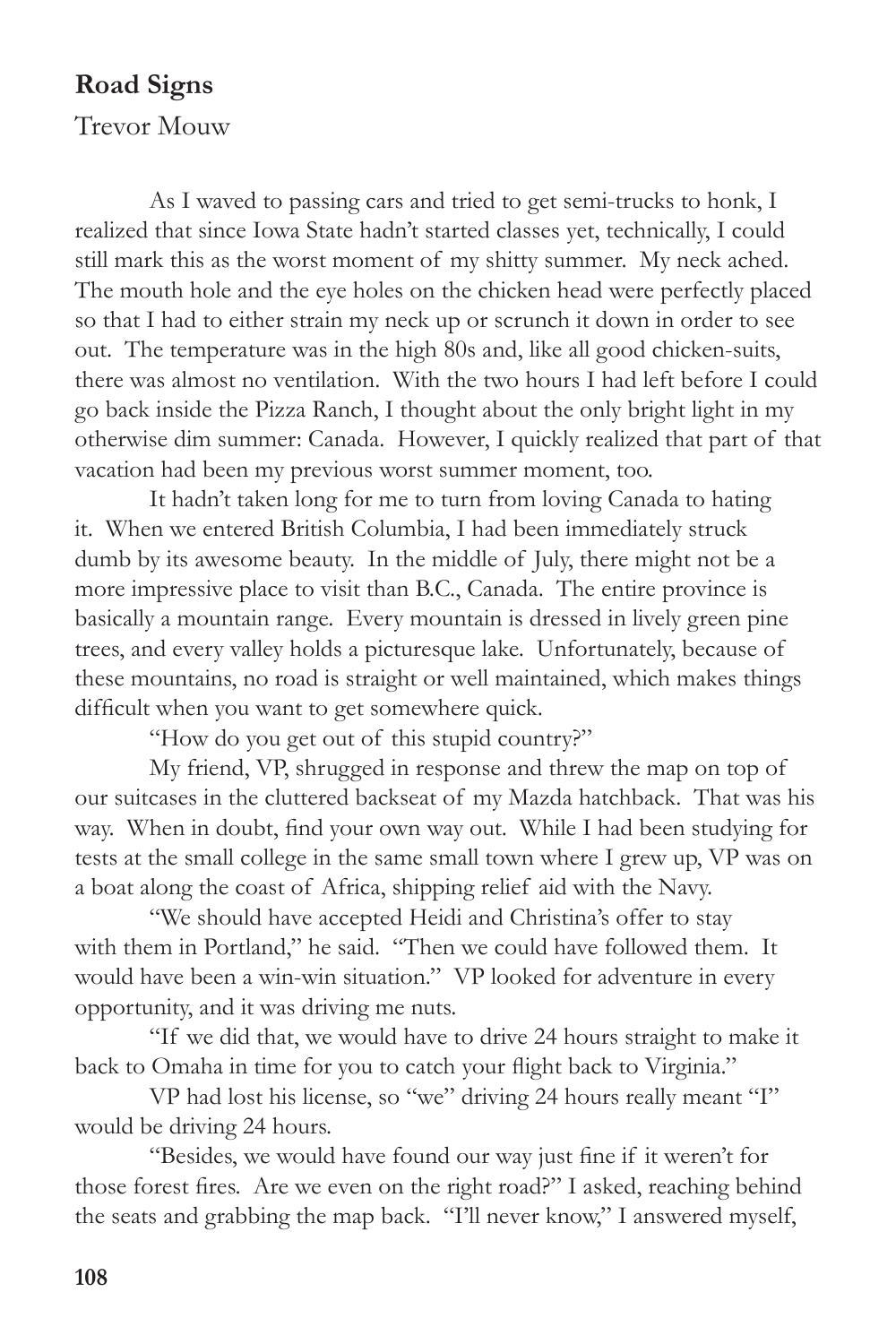## **Road Signs**

Trevor Mouw

As I waved to passing cars and tried to get semi-trucks to honk, I realized that since Iowa State hadn't started classes yet, technically, I could still mark this as the worst moment of my shitty summer. My neck ached. The mouth hole and the eye holes on the chicken head were perfectly placed so that I had to either strain my neck up or scrunch it down in order to see out. The temperature was in the high 80s and, like all good chicken-suits, there was almost no ventilation. With the two hours I had left before I could go back inside the Pizza Ranch, I thought about the only bright light in my otherwise dim summer: Canada. However, I quickly realized that part of that vacation had been my previous worst summer moment, too.

It hadn't taken long for me to turn from loving Canada to hating it. When we entered British Columbia, I had been immediately struck dumb by its awesome beauty. In the middle of July, there might not be a more impressive place to visit than B.C., Canada. The entire province is basically a mountain range. Every mountain is dressed in lively green pine trees, and every valley holds a picturesque lake. Unfortunately, because of these mountains, no road is straight or well maintained, which makes things difficult when you want to get somewhere quick.

"How do you get out of this stupid country?"

My friend, VP, shrugged in response and threw the map on top of our suitcases in the cluttered backseat of my Mazda hatchback. That was his way. When in doubt, find your own way out. While I had been studying for tests at the small college in the same small town where I grew up, VP was on a boat along the coast of Africa, shipping relief aid with the Navy.

"We should have accepted Heidi and Christina's offer to stay with them in Portland," he said. "Then we could have followed them. It would have been a win-win situation." VP looked for adventure in every opportunity, and it was driving me nuts.

"If we did that, we would have to drive 24 hours straight to make it back to Omaha in time for you to catch your flight back to Virginia."

VP had lost his license, so "we" driving 24 hours really meant "I" would be driving 24 hours.

"Besides, we would have found our way just fine if it weren't for those forest fires. Are we even on the right road?" I asked, reaching behind the seats and grabbing the map back. "I'll never know," I answered myself,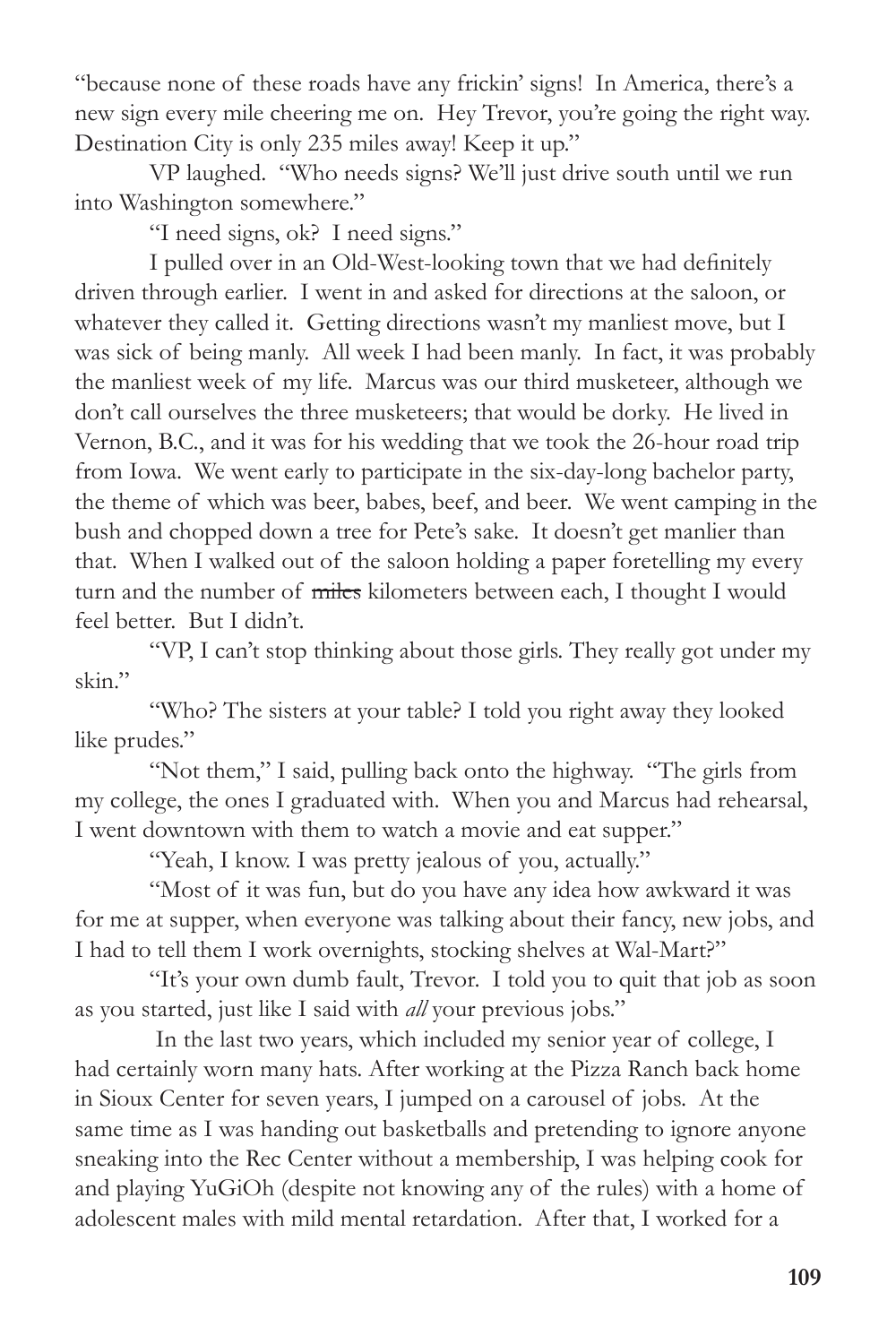"because none of these roads have any frickin' signs! In America, there's a new sign every mile cheering me on. Hey Trevor, you're going the right way. Destination City is only 235 miles away! Keep it up."

VP laughed. "Who needs signs? We'll just drive south until we run into Washington somewhere."

"I need signs, ok? I need signs."

I pulled over in an Old-West-looking town that we had definitely driven through earlier. I went in and asked for directions at the saloon, or whatever they called it. Getting directions wasn't my manliest move, but I was sick of being manly. All week I had been manly. In fact, it was probably the manliest week of my life. Marcus was our third musketeer, although we don't call ourselves the three musketeers; that would be dorky. He lived in Vernon, B.C., and it was for his wedding that we took the 26-hour road trip from Iowa. We went early to participate in the six-day-long bachelor party, the theme of which was beer, babes, beef, and beer. We went camping in the bush and chopped down a tree for Pete's sake. It doesn't get manlier than that. When I walked out of the saloon holding a paper foretelling my every turn and the number of miles kilometers between each, I thought I would feel better. But I didn't.

"VP, I can't stop thinking about those girls. They really got under my skin."

"Who? The sisters at your table? I told you right away they looked like prudes."

"Not them," I said, pulling back onto the highway. "The girls from my college, the ones I graduated with. When you and Marcus had rehearsal, I went downtown with them to watch a movie and eat supper."

"Yeah, I know. I was pretty jealous of you, actually."

"Most of it was fun, but do you have any idea how awkward it was for me at supper, when everyone was talking about their fancy, new jobs, and I had to tell them I work overnights, stocking shelves at Wal-Mart?"

"It's your own dumb fault, Trevor. I told you to quit that job as soon as you started, just like I said with *all* your previous jobs."

 In the last two years, which included my senior year of college, I had certainly worn many hats. After working at the Pizza Ranch back home in Sioux Center for seven years, I jumped on a carousel of jobs. At the same time as I was handing out basketballs and pretending to ignore anyone sneaking into the Rec Center without a membership, I was helping cook for and playing YuGiOh (despite not knowing any of the rules) with a home of adolescent males with mild mental retardation. After that, I worked for a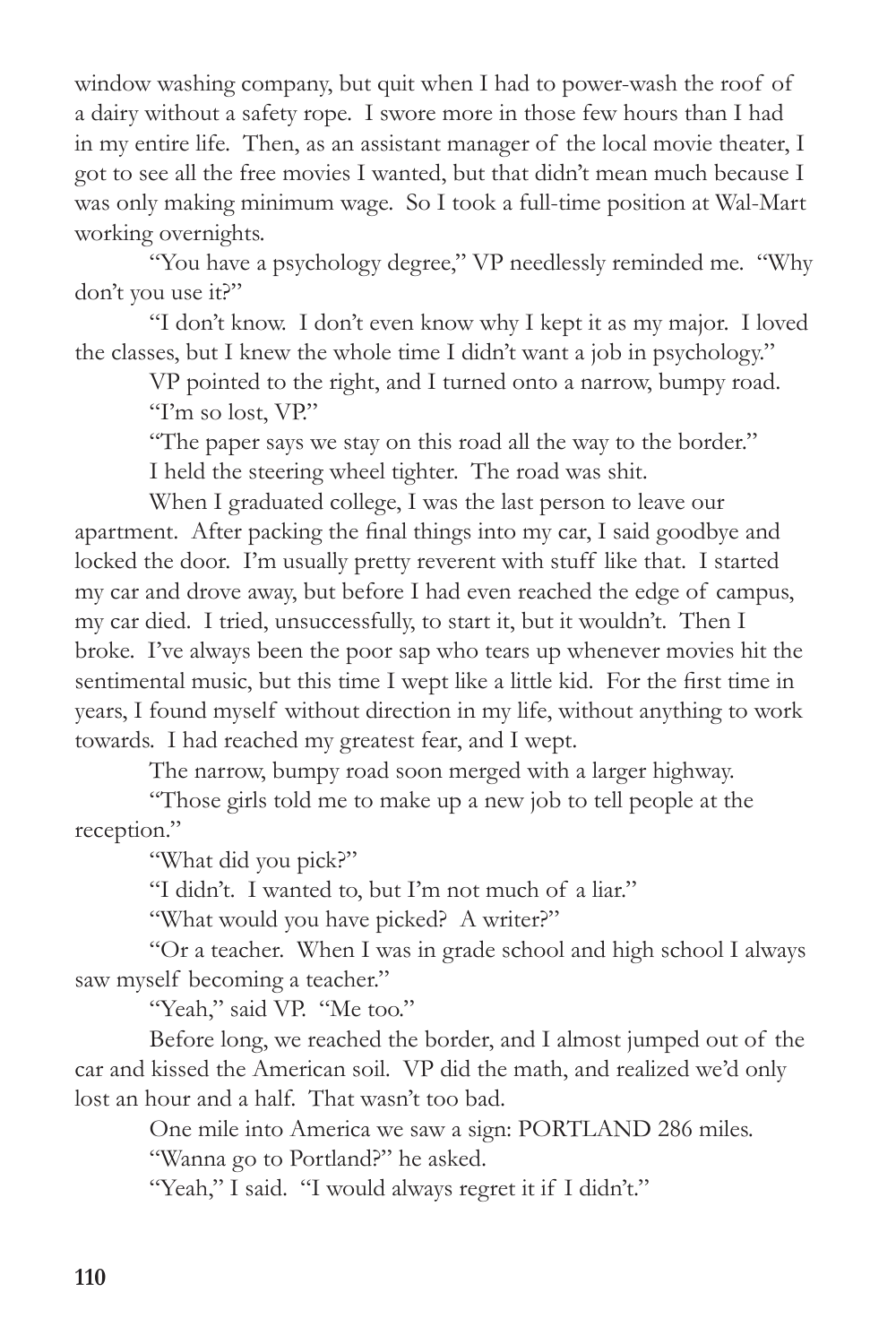window washing company, but quit when I had to power-wash the roof of a dairy without a safety rope. I swore more in those few hours than I had in my entire life. Then, as an assistant manager of the local movie theater, I got to see all the free movies I wanted, but that didn't mean much because I was only making minimum wage. So I took a full-time position at Wal-Mart working overnights.

"You have a psychology degree," VP needlessly reminded me. "Why don't you use it?"

"I don't know. I don't even know why I kept it as my major. I loved the classes, but I knew the whole time I didn't want a job in psychology."

VP pointed to the right, and I turned onto a narrow, bumpy road. "I'm so lost, VP."

"The paper says we stay on this road all the way to the border." I held the steering wheel tighter. The road was shit.

When I graduated college, I was the last person to leave our apartment. After packing the final things into my car, I said goodbye and locked the door. I'm usually pretty reverent with stuff like that. I started my car and drove away, but before I had even reached the edge of campus, my car died. I tried, unsuccessfully, to start it, but it wouldn't. Then I broke. I've always been the poor sap who tears up whenever movies hit the sentimental music, but this time I wept like a little kid. For the first time in years, I found myself without direction in my life, without anything to work towards. I had reached my greatest fear, and I wept.

The narrow, bumpy road soon merged with a larger highway.

"Those girls told me to make up a new job to tell people at the reception."

"What did you pick?"

"I didn't. I wanted to, but I'm not much of a liar."

"What would you have picked? A writer?"

"Or a teacher. When I was in grade school and high school I always saw myself becoming a teacher."

"Yeah," said VP. "Me too."

Before long, we reached the border, and I almost jumped out of the car and kissed the American soil. VP did the math, and realized we'd only lost an hour and a half. That wasn't too bad.

One mile into America we saw a sign: PORTLAND 286 miles.

"Wanna go to Portland?" he asked.

"Yeah," I said. "I would always regret it if I didn't."